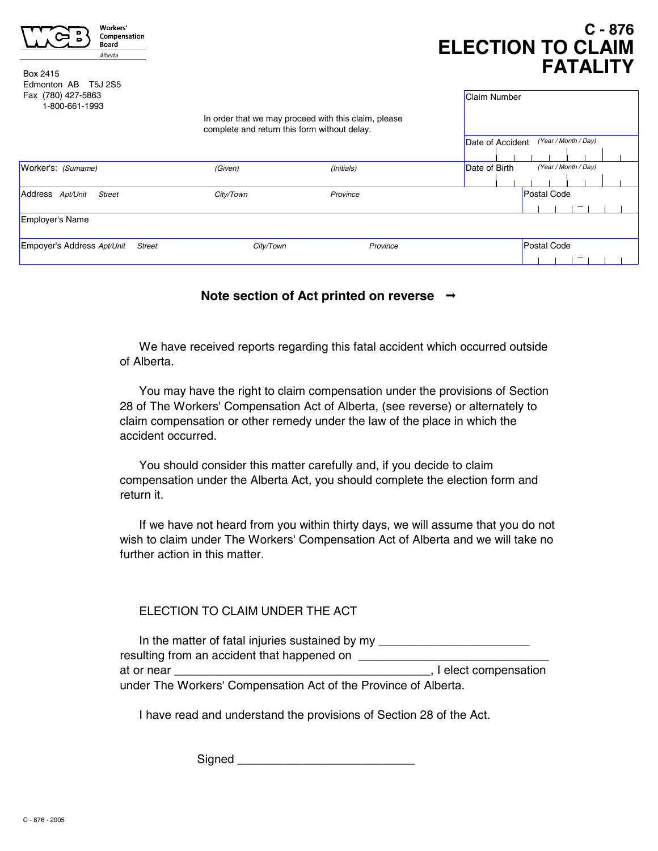| Workers'<br>Compensation<br>Board<br>Alberta<br>Box 2415<br>Edmonton AB<br>T5J 2S5 |                                                                                                      |            | $C - 876$<br><b>ELECTION TO CLAIM</b><br><b>FATALITY</b> |                                       |             |                      |  |  |
|------------------------------------------------------------------------------------|------------------------------------------------------------------------------------------------------|------------|----------------------------------------------------------|---------------------------------------|-------------|----------------------|--|--|
| Fax (780) 427-5863<br>1-800-661-1993                                               |                                                                                                      |            | <b>Claim Number</b>                                      |                                       |             |                      |  |  |
|                                                                                    | In order that we may proceed with this claim, please<br>complete and return this form without delay. |            |                                                          |                                       |             |                      |  |  |
|                                                                                    |                                                                                                      |            | Date of Accident                                         |                                       |             | (Year / Month / Day) |  |  |
|                                                                                    |                                                                                                      |            |                                                          |                                       |             |                      |  |  |
| Worker's: (Surname)                                                                | (Given)                                                                                              | (Initials) |                                                          | (Year / Month / Day)<br>Date of Birth |             |                      |  |  |
|                                                                                    |                                                                                                      |            |                                                          |                                       |             |                      |  |  |
| Address Apt/Unit<br><b>Street</b>                                                  | City/Town                                                                                            | Province   |                                                          |                                       | Postal Code |                      |  |  |
|                                                                                    |                                                                                                      |            |                                                          |                                       |             |                      |  |  |
| Employer's Name                                                                    |                                                                                                      |            |                                                          |                                       |             |                      |  |  |
| Empoyer's Address Apt/Unit<br><b>Street</b>                                        | City/Town<br>Province                                                                                |            |                                                          | Postal Code                           |             |                      |  |  |
|                                                                                    |                                                                                                      |            |                                                          |                                       |             |                      |  |  |

## **Note section of Act printed on reverse**

We have received reports regarding this fatal accident which occurred outside of Alberta.

You may have the right to claim compensation under the provisions of Section 28 of The Workers' Compensation Act of Alberta, (see reverse) or alternately to claim compensation or other remedy under the law of the place in which the accident occurred.

You should consider this matter carefully and, if you decide to claim compensation under the Alberta Act, you should complete the election form and return it.

If we have not heard from you within thirty days, we will assume that you do not wish to claim under The Workers' Compensation Act of Alberta and we will take no further action in this matter.

### FLECTION TO CLAIM UNDER THE ACT.

In the matter of fatal injuries sustained by my \_\_\_\_\_\_\_\_\_\_\_\_\_\_\_\_\_\_\_\_\_\_\_\_\_\_\_\_\_\_\_\_ resulting from an accident that happened on \_\_\_\_\_\_\_\_\_\_\_\_\_\_\_\_\_\_\_\_\_\_\_\_\_\_\_\_\_ at or near \_\_\_\_\_\_\_\_\_\_\_\_\_\_\_\_\_\_\_\_\_\_\_\_\_\_\_\_\_\_\_\_\_\_\_\_\_\_\_, I elect compensation under The Workers' Compensation Act of the Province of Alberta.

I have read and understand the provisions of Section 28 of the Act.

Signed **and all the set of the set of the set of the set of the set of the set of the set of the set of the set of the set of the set of the set of the set of the set of the set of the set of the set of the set of the set**